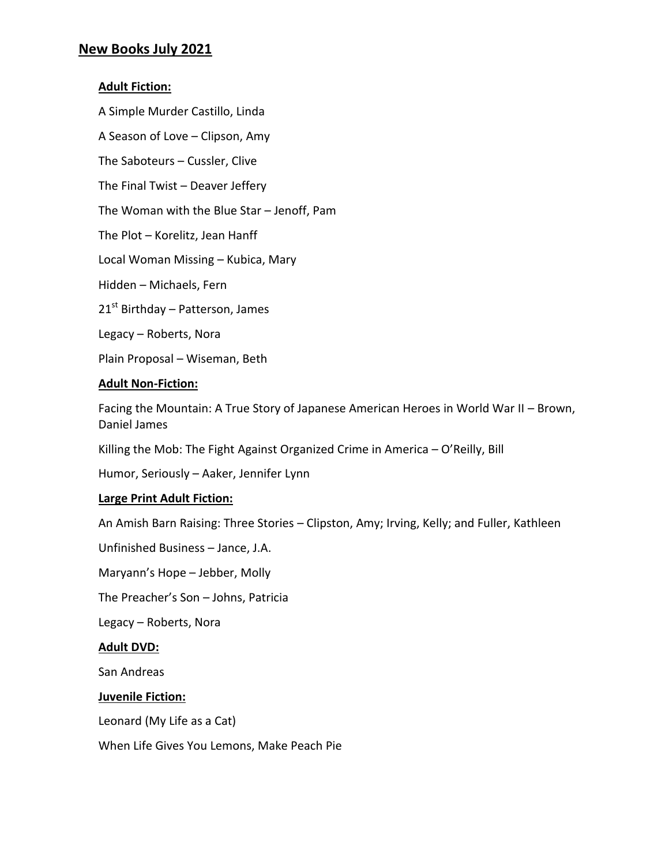# **New Books July 2021**

### **Adult Fiction:**

A Simple Murder Castillo, Linda

A Season of Love – Clipson, Amy

The Saboteurs – Cussler, Clive

The Final Twist – Deaver Jeffery

The Woman with the Blue Star – Jenoff, Pam

The Plot – Korelitz, Jean Hanff

Local Woman Missing – Kubica, Mary

Hidden – Michaels, Fern

 $21<sup>st</sup>$  Birthday – Patterson, James

Legacy – Roberts, Nora

Plain Proposal – Wiseman, Beth

#### **Adult Non-Fiction:**

Facing the Mountain: A True Story of Japanese American Heroes in World War II – Brown, Daniel James

Killing the Mob: The Fight Against Organized Crime in America – O'Reilly, Bill

Humor, Seriously – Aaker, Jennifer Lynn

### **Large Print Adult Fiction:**

An Amish Barn Raising: Three Stories – Clipston, Amy; Irving, Kelly; and Fuller, Kathleen

Unfinished Business – Jance, J.A.

Maryann's Hope – Jebber, Molly

The Preacher's Son – Johns, Patricia

Legacy – Roberts, Nora

#### **Adult DVD:**

San Andreas

#### **Juvenile Fiction:**

Leonard (My Life as a Cat)

When Life Gives You Lemons, Make Peach Pie